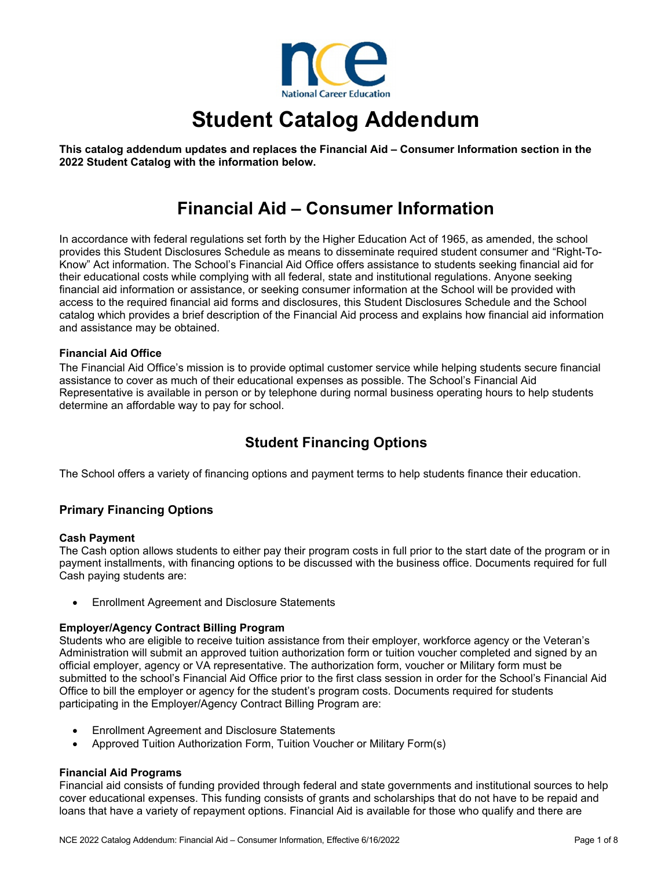

# **Student Catalog Addendum**

**This catalog addendum updates and replaces the Financial Aid – Consumer Information section in the 2022 Student Catalog with the information below.** 

## **Financial Aid – Consumer Information**

In accordance with federal regulations set forth by the Higher Education Act of 1965, as amended, the school provides this Student Disclosures Schedule as means to disseminate required student consumer and "Right-To-Know" Act information. The School's Financial Aid Office offers assistance to students seeking financial aid for their educational costs while complying with all federal, state and institutional regulations. Anyone seeking financial aid information or assistance, or seeking consumer information at the School will be provided with access to the required financial aid forms and disclosures, this Student Disclosures Schedule and the School catalog which provides a brief description of the Financial Aid process and explains how financial aid information and assistance may be obtained.

#### **Financial Aid Office**

The Financial Aid Office's mission is to provide optimal customer service while helping students secure financial assistance to cover as much of their educational expenses as possible. The School's Financial Aid Representative is available in person or by telephone during normal business operating hours to help students determine an affordable way to pay for school.

### **Student Financing Options**

The School offers a variety of financing options and payment terms to help students finance their education.

#### **Primary Financing Options**

#### **Cash Payment**

The Cash option allows students to either pay their program costs in full prior to the start date of the program or in payment installments, with financing options to be discussed with the business office. Documents required for full Cash paying students are:

Enrollment Agreement and Disclosure Statements

#### **Employer/Agency Contract Billing Program**

Students who are eligible to receive tuition assistance from their employer, workforce agency or the Veteran's Administration will submit an approved tuition authorization form or tuition voucher completed and signed by an official employer, agency or VA representative. The authorization form, voucher or Military form must be submitted to the school's Financial Aid Office prior to the first class session in order for the School's Financial Aid Office to bill the employer or agency for the student's program costs. Documents required for students participating in the Employer/Agency Contract Billing Program are:

- Enrollment Agreement and Disclosure Statements
- Approved Tuition Authorization Form, Tuition Voucher or Military Form(s)

#### **Financial Aid Programs**

Financial aid consists of funding provided through federal and state governments and institutional sources to help cover educational expenses. This funding consists of grants and scholarships that do not have to be repaid and loans that have a variety of repayment options. Financial Aid is available for those who qualify and there are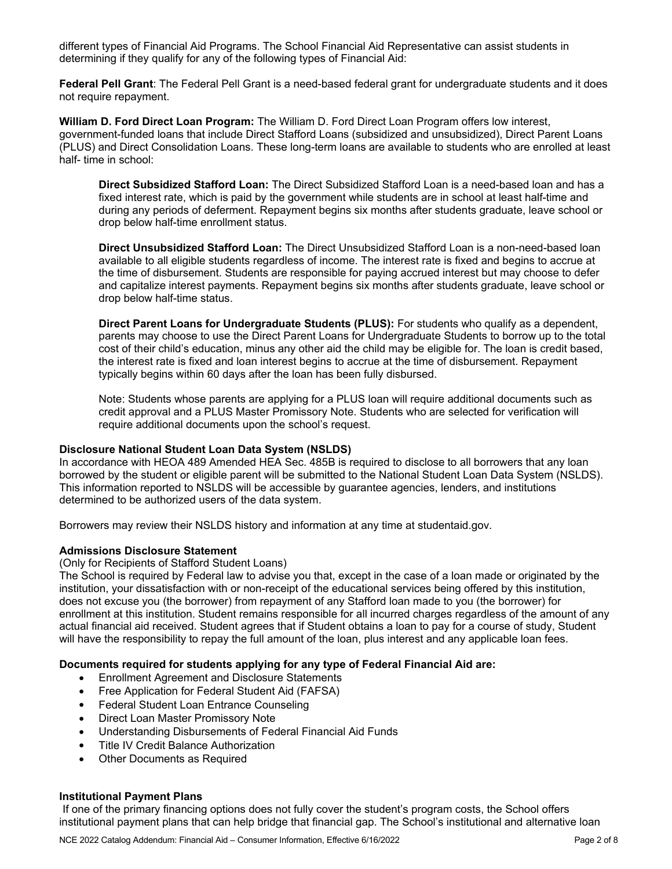different types of Financial Aid Programs. The School Financial Aid Representative can assist students in determining if they qualify for any of the following types of Financial Aid:

**Federal Pell Grant**: The Federal Pell Grant is a need-based federal grant for undergraduate students and it does not require repayment.

**William D. Ford Direct Loan Program:** The William D. Ford Direct Loan Program offers low interest, government-funded loans that include Direct Stafford Loans (subsidized and unsubsidized), Direct Parent Loans (PLUS) and Direct Consolidation Loans. These long-term loans are available to students who are enrolled at least half- time in school:

**Direct Subsidized Stafford Loan:** The Direct Subsidized Stafford Loan is a need-based loan and has a fixed interest rate, which is paid by the government while students are in school at least half-time and during any periods of deferment. Repayment begins six months after students graduate, leave school or drop below half-time enrollment status.

**Direct Unsubsidized Stafford Loan:** The Direct Unsubsidized Stafford Loan is a non-need-based loan available to all eligible students regardless of income. The interest rate is fixed and begins to accrue at the time of disbursement. Students are responsible for paying accrued interest but may choose to defer and capitalize interest payments. Repayment begins six months after students graduate, leave school or drop below half-time status.

**Direct Parent Loans for Undergraduate Students (PLUS):** For students who qualify as a dependent, parents may choose to use the Direct Parent Loans for Undergraduate Students to borrow up to the total cost of their child's education, minus any other aid the child may be eligible for. The loan is credit based, the interest rate is fixed and loan interest begins to accrue at the time of disbursement. Repayment typically begins within 60 days after the loan has been fully disbursed.

Note: Students whose parents are applying for a PLUS loan will require additional documents such as credit approval and a PLUS Master Promissory Note. Students who are selected for verification will require additional documents upon the school's request.

#### **Disclosure National Student Loan Data System (NSLDS)**

In accordance with HEOA 489 Amended HEA Sec. 485B is required to disclose to all borrowers that any loan borrowed by the student or eligible parent will be submitted to the National Student Loan Data System (NSLDS). This information reported to NSLDS will be accessible by guarantee agencies, lenders, and institutions determined to be authorized users of the data system.

Borrowers may review their NSLDS history and information at any time at studentaid.gov.

#### **Admissions Disclosure Statement**

(Only for Recipients of Stafford Student Loans)

The School is required by Federal law to advise you that, except in the case of a loan made or originated by the institution, your dissatisfaction with or non-receipt of the educational services being offered by this institution, does not excuse you (the borrower) from repayment of any Stafford loan made to you (the borrower) for enrollment at this institution. Student remains responsible for all incurred charges regardless of the amount of any actual financial aid received. Student agrees that if Student obtains a loan to pay for a course of study, Student will have the responsibility to repay the full amount of the loan, plus interest and any applicable loan fees.

#### **Documents required for students applying for any type of Federal Financial Aid are:**

- Enrollment Agreement and Disclosure Statements
- Free Application for Federal Student Aid (FAFSA)
- Federal Student Loan Entrance Counseling
- Direct Loan Master Promissory Note
- Understanding Disbursements of Federal Financial Aid Funds
- Title IV Credit Balance Authorization
- Other Documents as Required

#### **Institutional Payment Plans**

If one of the primary financing options does not fully cover the student's program costs, the School offers institutional payment plans that can help bridge that financial gap. The School's institutional and alternative loan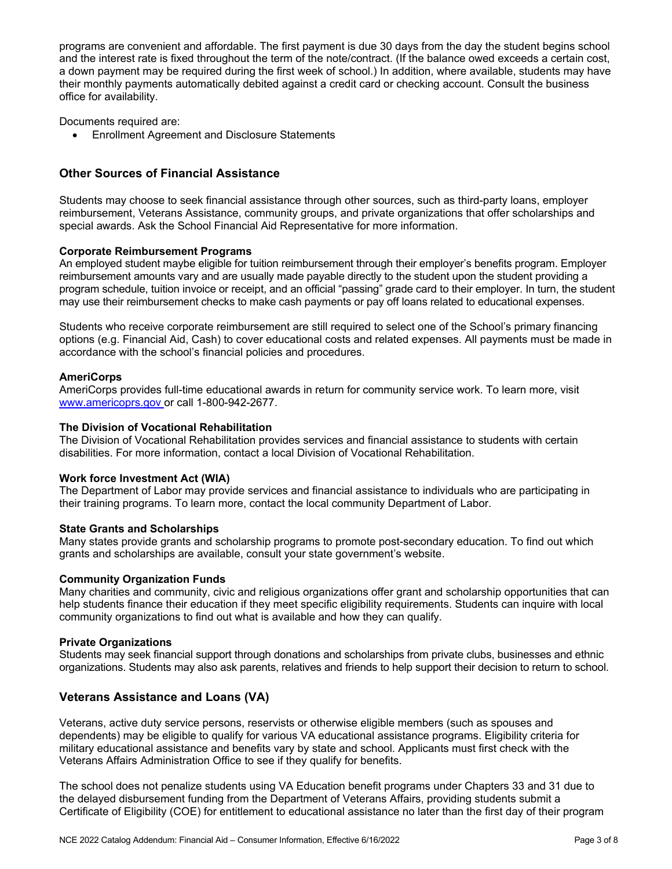programs are convenient and affordable. The first payment is due 30 days from the day the student begins school and the interest rate is fixed throughout the term of the note/contract. (If the balance owed exceeds a certain cost, a down payment may be required during the first week of school.) In addition, where available, students may have their monthly payments automatically debited against a credit card or checking account. Consult the business office for availability.

Documents required are:

Enrollment Agreement and Disclosure Statements

#### **Other Sources of Financial Assistance**

Students may choose to seek financial assistance through other sources, such as third-party loans, employer reimbursement, Veterans Assistance, community groups, and private organizations that offer scholarships and special awards. Ask the School Financial Aid Representative for more information.

#### **Corporate Reimbursement Programs**

An employed student maybe eligible for tuition reimbursement through their employer's benefits program. Employer reimbursement amounts vary and are usually made payable directly to the student upon the student providing a program schedule, tuition invoice or receipt, and an official "passing" grade card to their employer. In turn, the student may use their reimbursement checks to make cash payments or pay off loans related to educational expenses.

Students who receive corporate reimbursement are still required to select one of the School's primary financing options (e.g. Financial Aid, Cash) to cover educational costs and related expenses. All payments must be made in accordance with the school's financial policies and procedures.

#### **AmeriCorps**

AmeriCorps provides full-time educational awards in return for community service work. To learn more, visit www.americoprs.gov or call 1-800-942-2677.

#### **The Division of Vocational Rehabilitation**

The Division of Vocational Rehabilitation provides services and financial assistance to students with certain disabilities. For more information, contact a local Division of Vocational Rehabilitation.

#### **Work force Investment Act (WIA)**

The Department of Labor may provide services and financial assistance to individuals who are participating in their training programs. To learn more, contact the local community Department of Labor.

#### **State Grants and Scholarships**

Many states provide grants and scholarship programs to promote post-secondary education. To find out which grants and scholarships are available, consult your state government's website.

#### **Community Organization Funds**

Many charities and community, civic and religious organizations offer grant and scholarship opportunities that can help students finance their education if they meet specific eligibility requirements. Students can inquire with local community organizations to find out what is available and how they can qualify.

#### **Private Organizations**

Students may seek financial support through donations and scholarships from private clubs, businesses and ethnic organizations. Students may also ask parents, relatives and friends to help support their decision to return to school.

#### **Veterans Assistance and Loans (VA)**

Veterans, active duty service persons, reservists or otherwise eligible members (such as spouses and dependents) may be eligible to qualify for various VA educational assistance programs. Eligibility criteria for military educational assistance and benefits vary by state and school. Applicants must first check with the Veterans Affairs Administration Office to see if they qualify for benefits.

The school does not penalize students using VA Education benefit programs under Chapters 33 and 31 due to the delayed disbursement funding from the Department of Veterans Affairs, providing students submit a Certificate of Eligibility (COE) for entitlement to educational assistance no later than the first day of their program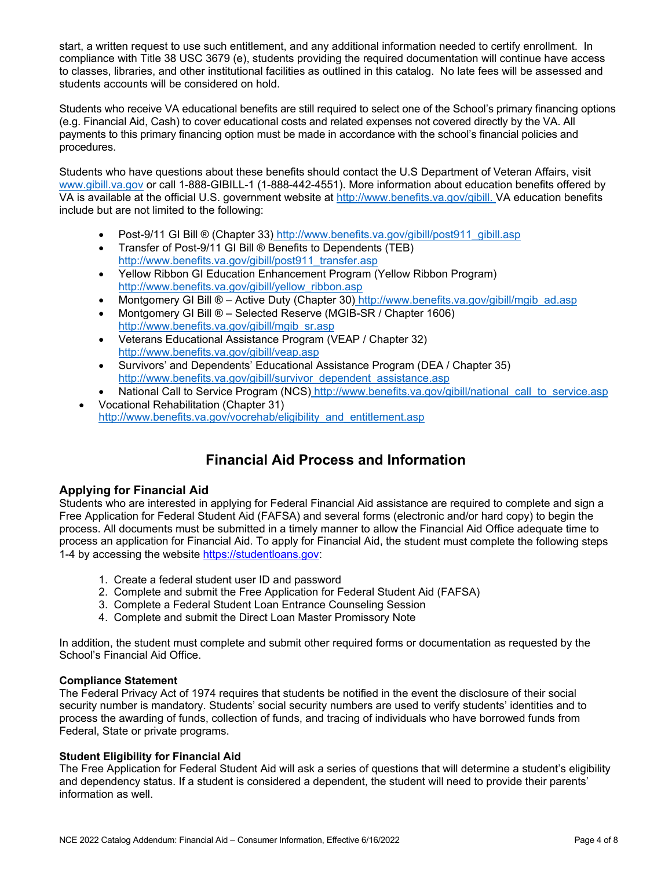start, a written request to use such entitlement, and any additional information needed to certify enrollment. In compliance with Title 38 USC 3679 (e), students providing the required documentation will continue have access to classes, libraries, and other institutional facilities as outlined in this catalog. No late fees will be assessed and students accounts will be considered on hold.

Students who receive VA educational benefits are still required to select one of the School's primary financing options (e.g. Financial Aid, Cash) to cover educational costs and related expenses not covered directly by the VA. All payments to this primary financing option must be made in accordance with the school's financial policies and procedures.

Students who have questions about these benefits should contact the U.S Department of Veteran Affairs, visit www.gibill.va.gov or call 1-888-GIBILL-1 (1-888-442-4551). More information about education benefits offered by VA is available at the official U.S. government website at http://www.benefits.va.gov/gibill. VA education benefits include but are not limited to the following:

- Post-9/11 GI Bill ® (Chapter 33) http://www.benefits.va.gov/gibill/post911\_gibill.asp
- Transfer of Post-9/11 GI Bill ® Benefits to Dependents (TEB) http://www.benefits.va.gov/gibill/post911\_transfer.asp
- Yellow Ribbon GI Education Enhancement Program (Yellow Ribbon Program) http://www.benefits.va.gov/gibill/yellow\_ribbon.asp
- Montgomery GI Bill ® Active Duty (Chapter 30) http://www.benefits.va.gov/gibill/mgib\_ad.asp
- Montgomery GI Bill ® Selected Reserve (MGIB-SR / Chapter 1606) http://www.benefits.va.gov/gibill/mgib\_sr.asp
- Veterans Educational Assistance Program (VEAP / Chapter 32) http://www.benefits.va.gov/gibill/veap.asp
- Survivors' and Dependents' Educational Assistance Program (DEA / Chapter 35) http://www.benefits.va.gov/gibill/survivor\_dependent\_assistance.asp
- National Call to Service Program (NCS) http://www.benefits.va.gov/gibill/national call to service.asp Vocational Rehabilitation (Chapter 31)
- http://www.benefits.va.gov/vocrehab/eligibility\_and\_entitlement.asp

## **Financial Aid Process and Information**

#### **Applying for Financial Aid**

Students who are interested in applying for Federal Financial Aid assistance are required to complete and sign a Free Application for Federal Student Aid (FAFSA) and several forms (electronic and/or hard copy) to begin the process. All documents must be submitted in a timely manner to allow the Financial Aid Office adequate time to process an application for Financial Aid. To apply for Financial Aid, the student must complete the following steps 1-4 by accessing the website https://studentloans.gov:

- 1. Create a federal student user ID and password
- 2. Complete and submit the Free Application for Federal Student Aid (FAFSA)
- 3. Complete a Federal Student Loan Entrance Counseling Session
- 4. Complete and submit the Direct Loan Master Promissory Note

In addition, the student must complete and submit other required forms or documentation as requested by the School's Financial Aid Office.

#### **Compliance Statement**

The Federal Privacy Act of 1974 requires that students be notified in the event the disclosure of their social security number is mandatory. Students' social security numbers are used to verify students' identities and to process the awarding of funds, collection of funds, and tracing of individuals who have borrowed funds from Federal, State or private programs.

#### **Student Eligibility for Financial Aid**

The Free Application for Federal Student Aid will ask a series of questions that will determine a student's eligibility and dependency status. If a student is considered a dependent, the student will need to provide their parents' information as well.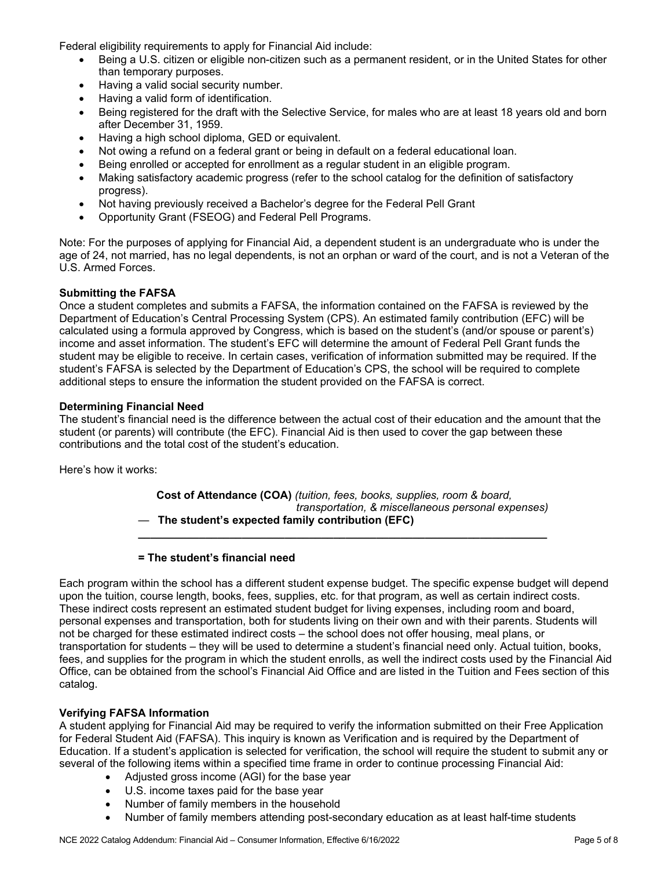Federal eligibility requirements to apply for Financial Aid include:

- Being a U.S. citizen or eligible non-citizen such as a permanent resident, or in the United States for other than temporary purposes.
- Having a valid social security number.
- Having a valid form of identification.
- Being registered for the draft with the Selective Service, for males who are at least 18 years old and born after December 31, 1959.
- Having a high school diploma, GED or equivalent.
- Not owing a refund on a federal grant or being in default on a federal educational loan.
- Being enrolled or accepted for enrollment as a regular student in an eligible program.
- Making satisfactory academic progress (refer to the school catalog for the definition of satisfactory progress).
- Not having previously received a Bachelor's degree for the Federal Pell Grant
- Opportunity Grant (FSEOG) and Federal Pell Programs.

Note: For the purposes of applying for Financial Aid, a dependent student is an undergraduate who is under the age of 24, not married, has no legal dependents, is not an orphan or ward of the court, and is not a Veteran of the U.S. Armed Forces.

#### **Submitting the FAFSA**

Once a student completes and submits a FAFSA, the information contained on the FAFSA is reviewed by the Department of Education's Central Processing System (CPS). An estimated family contribution (EFC) will be calculated using a formula approved by Congress, which is based on the student's (and/or spouse or parent's) income and asset information. The student's EFC will determine the amount of Federal Pell Grant funds the student may be eligible to receive. In certain cases, verification of information submitted may be required. If the student's FAFSA is selected by the Department of Education's CPS, the school will be required to complete additional steps to ensure the information the student provided on the FAFSA is correct.

#### **Determining Financial Need**

The student's financial need is the difference between the actual cost of their education and the amount that the student (or parents) will contribute (the EFC). Financial Aid is then used to cover the gap between these contributions and the total cost of the student's education.

Here's how it works:

 **Cost of Attendance (COA)** *(tuition, fees, books, supplies, room & board,*  *transportation, & miscellaneous personal expenses)* — **The student's expected family contribution (EFC)** 

**\_\_\_\_\_\_\_\_\_\_\_\_\_\_\_\_\_\_\_\_\_\_\_\_\_\_\_\_\_\_\_\_\_\_\_\_\_\_\_\_\_\_\_\_\_\_\_\_\_\_\_\_\_\_\_\_\_\_\_\_\_\_\_\_\_\_\_** 

#### **= The student's financial need**

Each program within the school has a different student expense budget. The specific expense budget will depend upon the tuition, course length, books, fees, supplies, etc. for that program, as well as certain indirect costs. These indirect costs represent an estimated student budget for living expenses, including room and board, personal expenses and transportation, both for students living on their own and with their parents. Students will not be charged for these estimated indirect costs – the school does not offer housing, meal plans, or transportation for students – they will be used to determine a student's financial need only. Actual tuition, books, fees, and supplies for the program in which the student enrolls, as well the indirect costs used by the Financial Aid Office, can be obtained from the school's Financial Aid Office and are listed in the Tuition and Fees section of this catalog.

#### **Verifying FAFSA Information**

A student applying for Financial Aid may be required to verify the information submitted on their Free Application for Federal Student Aid (FAFSA). This inquiry is known as Verification and is required by the Department of Education. If a student's application is selected for verification, the school will require the student to submit any or several of the following items within a specified time frame in order to continue processing Financial Aid:

- Adjusted gross income (AGI) for the base year
- U.S. income taxes paid for the base year
- Number of family members in the household
- Number of family members attending post-secondary education as at least half-time students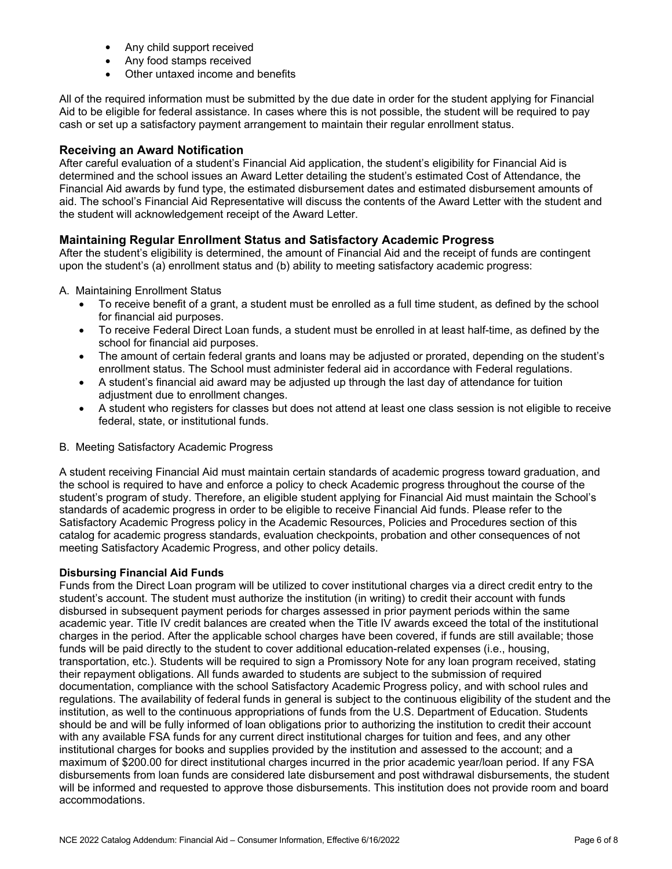- Any child support received
- Any food stamps received
- Other untaxed income and benefits

All of the required information must be submitted by the due date in order for the student applying for Financial Aid to be eligible for federal assistance. In cases where this is not possible, the student will be required to pay cash or set up a satisfactory payment arrangement to maintain their regular enrollment status.

#### **Receiving an Award Notification**

After careful evaluation of a student's Financial Aid application, the student's eligibility for Financial Aid is determined and the school issues an Award Letter detailing the student's estimated Cost of Attendance, the Financial Aid awards by fund type, the estimated disbursement dates and estimated disbursement amounts of aid. The school's Financial Aid Representative will discuss the contents of the Award Letter with the student and the student will acknowledgement receipt of the Award Letter.

#### **Maintaining Regular Enrollment Status and Satisfactory Academic Progress**

After the student's eligibility is determined, the amount of Financial Aid and the receipt of funds are contingent upon the student's (a) enrollment status and (b) ability to meeting satisfactory academic progress:

A. Maintaining Enrollment Status

- To receive benefit of a grant, a student must be enrolled as a full time student, as defined by the school for financial aid purposes.
- To receive Federal Direct Loan funds, a student must be enrolled in at least half-time, as defined by the school for financial aid purposes.
- The amount of certain federal grants and loans may be adjusted or prorated, depending on the student's enrollment status. The School must administer federal aid in accordance with Federal regulations.
- A student's financial aid award may be adjusted up through the last day of attendance for tuition adjustment due to enrollment changes.
- A student who registers for classes but does not attend at least one class session is not eligible to receive federal, state, or institutional funds.
- B. Meeting Satisfactory Academic Progress

A student receiving Financial Aid must maintain certain standards of academic progress toward graduation, and the school is required to have and enforce a policy to check Academic progress throughout the course of the student's program of study. Therefore, an eligible student applying for Financial Aid must maintain the School's standards of academic progress in order to be eligible to receive Financial Aid funds. Please refer to the Satisfactory Academic Progress policy in the Academic Resources, Policies and Procedures section of this catalog for academic progress standards, evaluation checkpoints, probation and other consequences of not meeting Satisfactory Academic Progress, and other policy details.

#### **Disbursing Financial Aid Funds**

Funds from the Direct Loan program will be utilized to cover institutional charges via a direct credit entry to the student's account. The student must authorize the institution (in writing) to credit their account with funds disbursed in subsequent payment periods for charges assessed in prior payment periods within the same academic year. Title IV credit balances are created when the Title IV awards exceed the total of the institutional charges in the period. After the applicable school charges have been covered, if funds are still available; those funds will be paid directly to the student to cover additional education-related expenses (i.e., housing, transportation, etc.). Students will be required to sign a Promissory Note for any loan program received, stating their repayment obligations. All funds awarded to students are subject to the submission of required documentation, compliance with the school Satisfactory Academic Progress policy, and with school rules and regulations. The availability of federal funds in general is subject to the continuous eligibility of the student and the institution, as well to the continuous appropriations of funds from the U.S. Department of Education. Students should be and will be fully informed of loan obligations prior to authorizing the institution to credit their account with any available FSA funds for any current direct institutional charges for tuition and fees, and any other institutional charges for books and supplies provided by the institution and assessed to the account; and a maximum of \$200.00 for direct institutional charges incurred in the prior academic year/loan period. If any FSA disbursements from loan funds are considered late disbursement and post withdrawal disbursements, the student will be informed and requested to approve those disbursements. This institution does not provide room and board accommodations.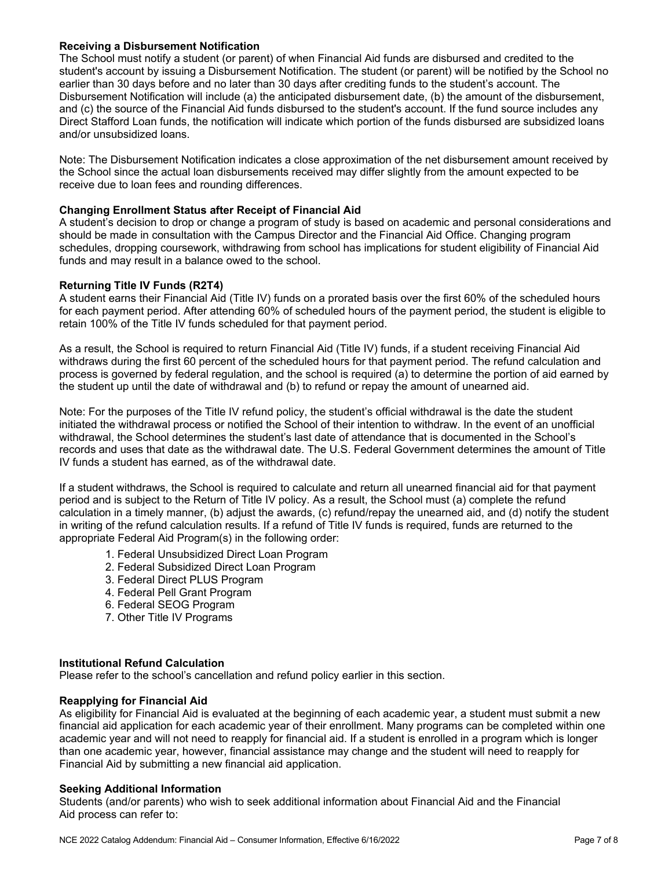#### **Receiving a Disbursement Notification**

The School must notify a student (or parent) of when Financial Aid funds are disbursed and credited to the student's account by issuing a Disbursement Notification. The student (or parent) will be notified by the School no earlier than 30 days before and no later than 30 days after crediting funds to the student's account. The Disbursement Notification will include (a) the anticipated disbursement date, (b) the amount of the disbursement, and (c) the source of the Financial Aid funds disbursed to the student's account. If the fund source includes any Direct Stafford Loan funds, the notification will indicate which portion of the funds disbursed are subsidized loans and/or unsubsidized loans.

Note: The Disbursement Notification indicates a close approximation of the net disbursement amount received by the School since the actual loan disbursements received may differ slightly from the amount expected to be receive due to loan fees and rounding differences.

#### **Changing Enrollment Status after Receipt of Financial Aid**

A student's decision to drop or change a program of study is based on academic and personal considerations and should be made in consultation with the Campus Director and the Financial Aid Office. Changing program schedules, dropping coursework, withdrawing from school has implications for student eligibility of Financial Aid funds and may result in a balance owed to the school.

#### **Returning Title IV Funds (R2T4)**

A student earns their Financial Aid (Title IV) funds on a prorated basis over the first 60% of the scheduled hours for each payment period. After attending 60% of scheduled hours of the payment period, the student is eligible to retain 100% of the Title IV funds scheduled for that payment period.

As a result, the School is required to return Financial Aid (Title IV) funds, if a student receiving Financial Aid withdraws during the first 60 percent of the scheduled hours for that payment period. The refund calculation and process is governed by federal regulation, and the school is required (a) to determine the portion of aid earned by the student up until the date of withdrawal and (b) to refund or repay the amount of unearned aid.

Note: For the purposes of the Title IV refund policy, the student's official withdrawal is the date the student initiated the withdrawal process or notified the School of their intention to withdraw. In the event of an unofficial withdrawal, the School determines the student's last date of attendance that is documented in the School's records and uses that date as the withdrawal date. The U.S. Federal Government determines the amount of Title IV funds a student has earned, as of the withdrawal date.

If a student withdraws, the School is required to calculate and return all unearned financial aid for that payment period and is subject to the Return of Title IV policy. As a result, the School must (a) complete the refund calculation in a timely manner, (b) adjust the awards, (c) refund/repay the unearned aid, and (d) notify the student in writing of the refund calculation results. If a refund of Title IV funds is required, funds are returned to the appropriate Federal Aid Program(s) in the following order:

- 1. Federal Unsubsidized Direct Loan Program
- 2. Federal Subsidized Direct Loan Program
- 3. Federal Direct PLUS Program
- 4. Federal Pell Grant Program
- 6. Federal SEOG Program
- 7. Other Title IV Programs

#### **Institutional Refund Calculation**

Please refer to the school's cancellation and refund policy earlier in this section.

#### **Reapplying for Financial Aid**

As eligibility for Financial Aid is evaluated at the beginning of each academic year, a student must submit a new financial aid application for each academic year of their enrollment. Many programs can be completed within one academic year and will not need to reapply for financial aid. If a student is enrolled in a program which is longer than one academic year, however, financial assistance may change and the student will need to reapply for Financial Aid by submitting a new financial aid application.

#### **Seeking Additional Information**

Students (and/or parents) who wish to seek additional information about Financial Aid and the Financial Aid process can refer to: